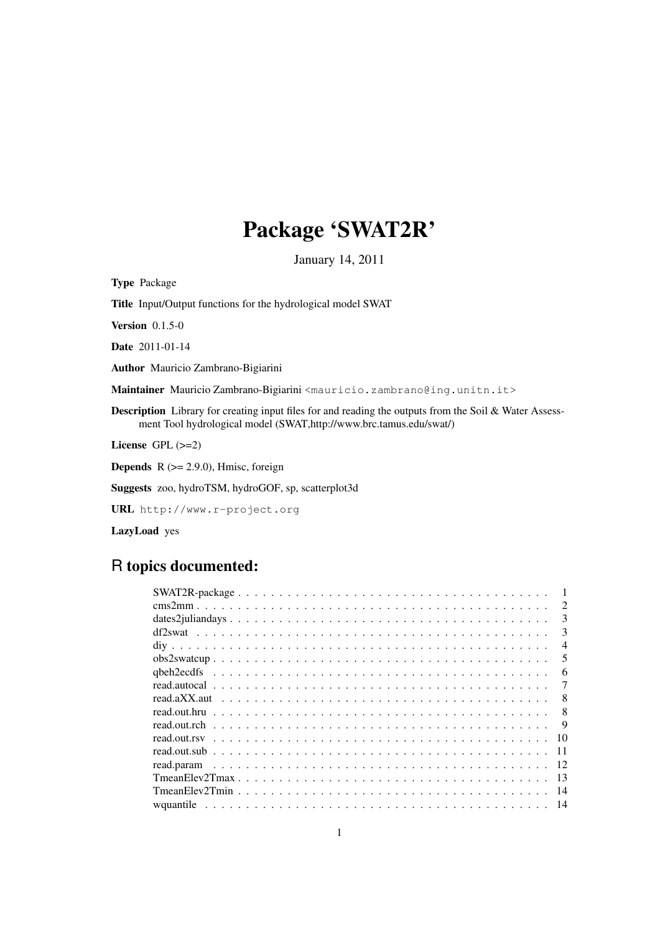# Package 'SWAT2R'

January 14, 2011

Type Package

Title Input/Output functions for the hydrological model SWAT

Version 0.1.5-0

Date 2011-01-14

Author Mauricio Zambrano-Bigiarini

Maintainer Mauricio Zambrano-Bigiarini <mauricio.zambrano@ing.unitn.it>

Description Library for creating input files for and reading the outputs from the Soil & Water Assessment Tool hydrological model (SWAT,http://www.brc.tamus.edu/swat/)

License GPL (>=2)

**Depends** R  $(>= 2.9.0)$ , Hmisc, foreign

Suggests zoo, hydroTSM, hydroGOF, sp, scatterplot3d

URL http://www.r-project.org

LazyLoad yes

# R topics documented:

| $\mathcal{D}_{\mathcal{L}}$ |
|-----------------------------|
| $\mathcal{R}$               |
| 3                           |
| $\overline{\mathcal{A}}$    |
| 5                           |
| 6                           |
|                             |
| 8                           |
| 8                           |
| 9                           |
| 10                          |
| -11                         |
| 12                          |
| -13                         |
| 14                          |
|                             |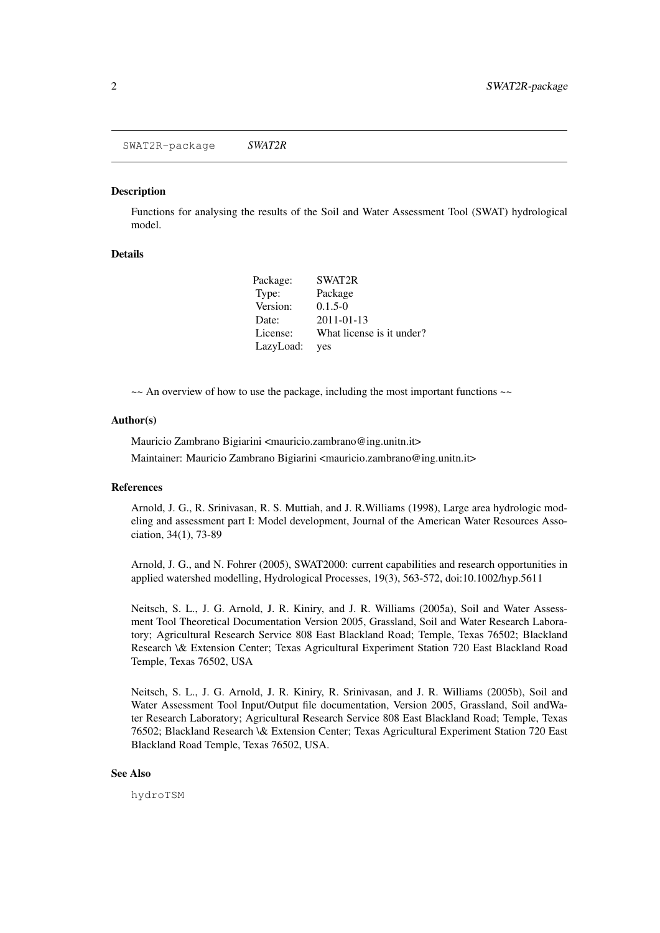SWAT2R-package *SWAT2R*

#### **Description**

Functions for analysing the results of the Soil and Water Assessment Tool (SWAT) hydrological model.

#### Details

| Package:  | SWAT2R                    |
|-----------|---------------------------|
| Type:     | Package                   |
| Version:  | $0.1.5 - 0$               |
| Date:     | $2011 - 01 - 13$          |
| License:  | What license is it under? |
| LazyLoad: | yes                       |

 $\sim$  An overview of how to use the package, including the most important functions  $\sim$ 

#### Author(s)

Mauricio Zambrano Bigiarini <mauricio.zambrano@ing.unitn.it> Maintainer: Mauricio Zambrano Bigiarini <mauricio.zambrano@ing.unitn.it>

#### References

Arnold, J. G., R. Srinivasan, R. S. Muttiah, and J. R.Williams (1998), Large area hydrologic modeling and assessment part I: Model development, Journal of the American Water Resources Association, 34(1), 73-89

Arnold, J. G., and N. Fohrer (2005), SWAT2000: current capabilities and research opportunities in applied watershed modelling, Hydrological Processes, 19(3), 563-572, doi:10.1002/hyp.5611

Neitsch, S. L., J. G. Arnold, J. R. Kiniry, and J. R. Williams (2005a), Soil and Water Assessment Tool Theoretical Documentation Version 2005, Grassland, Soil and Water Research Laboratory; Agricultural Research Service 808 East Blackland Road; Temple, Texas 76502; Blackland Research \& Extension Center; Texas Agricultural Experiment Station 720 East Blackland Road Temple, Texas 76502, USA

Neitsch, S. L., J. G. Arnold, J. R. Kiniry, R. Srinivasan, and J. R. Williams (2005b), Soil and Water Assessment Tool Input/Output file documentation, Version 2005, Grassland, Soil andWater Research Laboratory; Agricultural Research Service 808 East Blackland Road; Temple, Texas 76502; Blackland Research \& Extension Center; Texas Agricultural Experiment Station 720 East Blackland Road Temple, Texas 76502, USA.

#### See Also

hydroTSM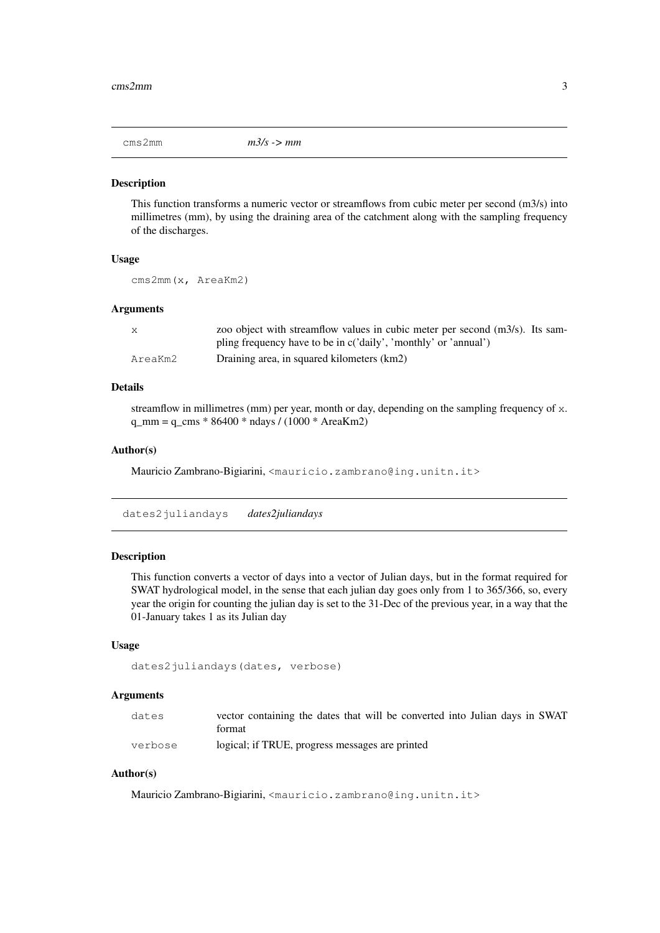cms2mm *m3/s -> mm*

#### Description

This function transforms a numeric vector or streamflows from cubic meter per second (m3/s) into millimetres (mm), by using the draining area of the catchment along with the sampling frequency of the discharges.

#### Usage

cms2mm(x, AreaKm2)

# Arguments

| X       | zoo object with streamflow values in cubic meter per second $(m3/s)$ . Its sam- |
|---------|---------------------------------------------------------------------------------|
|         | pling frequency have to be in c('daily', 'monthly' or 'annual')                 |
| AreaKm2 | Draining area, in squared kilometers (km2)                                      |

# Details

streamflow in millimetres (mm) per year, month or day, depending on the sampling frequency of x.  $q_{mm} = q_{rms} * 86400 * n \text{days} / (1000 * \text{AreaKm2})$ 

#### Author(s)

Mauricio Zambrano-Bigiarini, <mauricio.zambrano@ing.unitn.it>

dates2juliandays *dates2juliandays*

# Description

This function converts a vector of days into a vector of Julian days, but in the format required for SWAT hydrological model, in the sense that each julian day goes only from 1 to 365/366, so, every year the origin for counting the julian day is set to the 31-Dec of the previous year, in a way that the 01-January takes 1 as its Julian day

#### Usage

```
dates2juliandays(dates, verbose)
```
#### Arguments

| dates   | vector containing the dates that will be converted into Julian days in SWAT |
|---------|-----------------------------------------------------------------------------|
|         | format                                                                      |
| verbose | logical; if TRUE, progress messages are printed                             |

#### Author(s)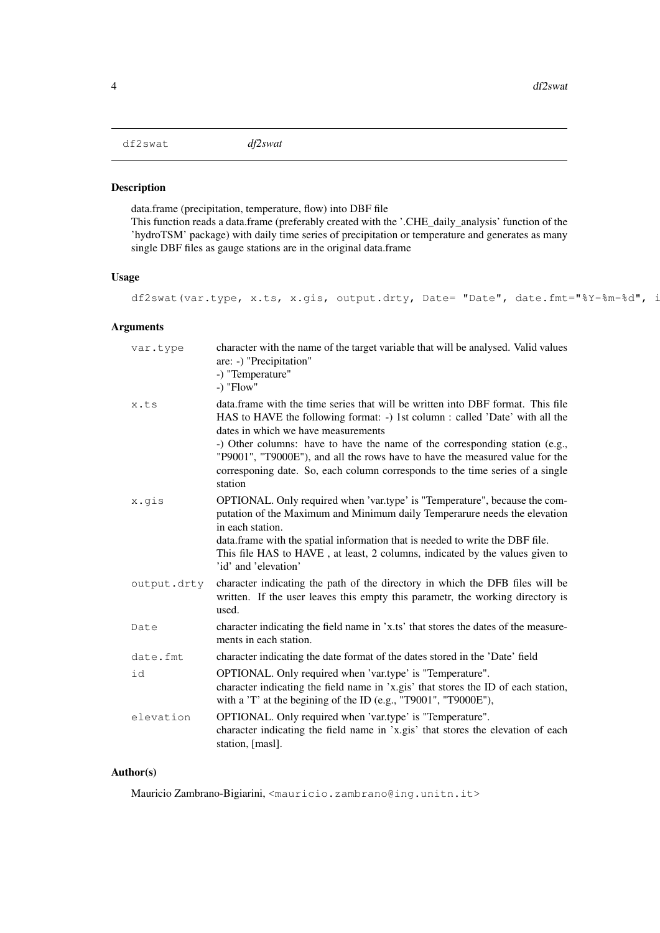df2swat *df2swat*

# Description

data.frame (precipitation, temperature, flow) into DBF file This function reads a data.frame (preferably created with the '.CHE\_daily\_analysis' function of the 'hydroTSM' package) with daily time series of precipitation or temperature and generates as many single DBF files as gauge stations are in the original data.frame

# Usage

df2swat(var.type, x.ts, x.gis, output.drty, Date= "Date", date.fmt="%Y-%m-%d", i

# Arguments

| var.type    | character with the name of the target variable that will be analysed. Valid values<br>are: -) "Precipitation"<br>-) "Temperature"<br>$-$ ) "Flow"                                                                                                                                                                                                                                                                                                                  |
|-------------|--------------------------------------------------------------------------------------------------------------------------------------------------------------------------------------------------------------------------------------------------------------------------------------------------------------------------------------------------------------------------------------------------------------------------------------------------------------------|
| x.ts        | data. frame with the time series that will be written into DBF format. This file<br>HAS to HAVE the following format: -) 1st column : called 'Date' with all the<br>dates in which we have measurements<br>-) Other columns: have to have the name of the corresponding station (e.g.,<br>"P9001", "T9000E"), and all the rows have to have the measured value for the<br>corresponing date. So, each column corresponds to the time series of a single<br>station |
| x.gis       | OPTIONAL. Only required when 'var.type' is "Temperature", because the com-<br>putation of the Maximum and Minimum daily Temperarure needs the elevation<br>in each station.<br>data.frame with the spatial information that is needed to write the DBF file.<br>This file HAS to HAVE, at least, 2 columns, indicated by the values given to<br>'id' and 'elevation'                                                                                               |
| output.drty | character indicating the path of the directory in which the DFB files will be<br>written. If the user leaves this empty this parametr, the working directory is<br>used.                                                                                                                                                                                                                                                                                           |
| Date        | character indicating the field name in 'x.ts' that stores the dates of the measure-<br>ments in each station.                                                                                                                                                                                                                                                                                                                                                      |
| date.fmt    | character indicating the date format of the dates stored in the 'Date' field                                                                                                                                                                                                                                                                                                                                                                                       |
| id          | OPTIONAL. Only required when 'var.type' is "Temperature".<br>character indicating the field name in 'x.gis' that stores the ID of each station,<br>with a 'T' at the begining of the ID (e.g., "T9001", "T9000E"),                                                                                                                                                                                                                                                 |
| elevation   | OPTIONAL. Only required when 'var.type' is "Temperature".<br>character indicating the field name in 'x.gis' that stores the elevation of each<br>station, [masl].                                                                                                                                                                                                                                                                                                  |

# Author(s)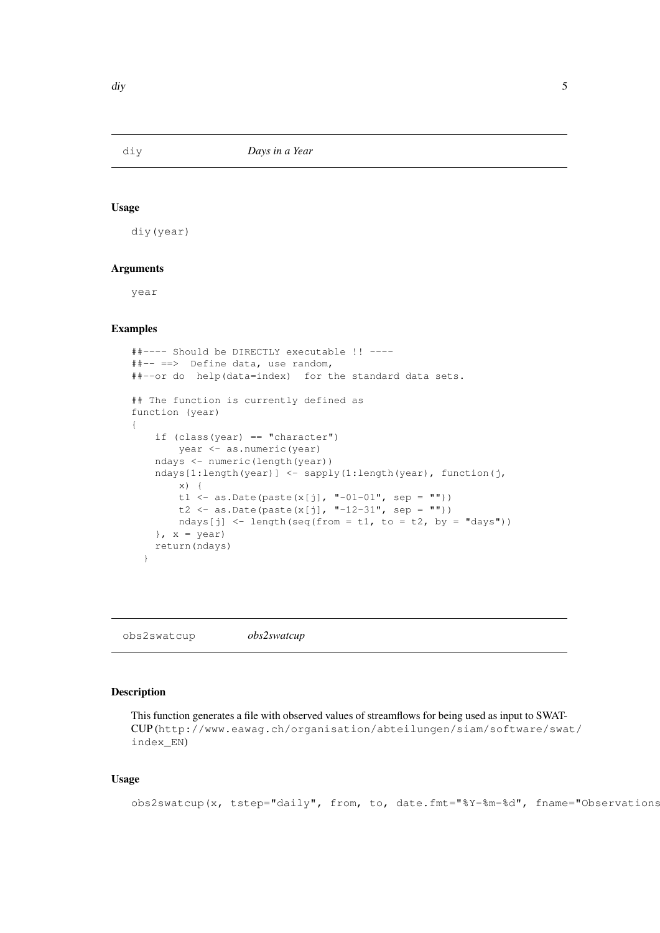#### Usage

diy(year)

#### Arguments

year

#### Examples

```
##---- Should be DIRECTLY executable !! ----
##-- ==> Define data, use random,
##--or do help(data=index) for the standard data sets.
## The function is currently defined as
function (year)
{
   if (class(year) == "character")
       year <- as.numeric(year)
   ndays <- numeric(length(year))
    ndays[1:length(year)] <- sapply(1:length(year), function(j,
        x) {
        t1 <- as.Date(paste(x[j], "-01-01", sep = ""))
        t2 <- as.Date(paste(x[j], "-12-31", sep = ""))
       ndays[j] <- length(seq(from = t1, to = t2, by = "days"))
    }, x = year)
    return(ndays)
  }
```
obs2swatcup *obs2swatcup*

#### Description

This function generates a file with observed values of streamflows for being used as input to SWAT-CUP (http://www.eawag.ch/organisation/abteilungen/siam/software/swat/ index\_EN)

# Usage

```
obs2swatcup(x, tstep="daily", from, to, date.fmt="%Y-%m-%d", fname="Observations
```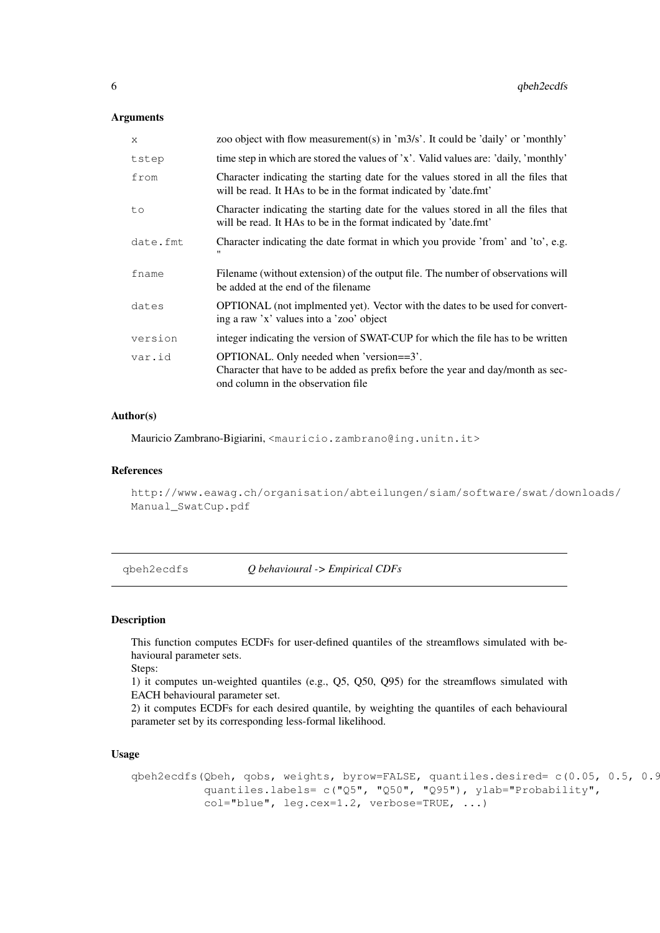#### Arguments

| X        | zoo object with flow measurement(s) in 'm3/s'. It could be 'daily' or 'monthly'                                                                                   |
|----------|-------------------------------------------------------------------------------------------------------------------------------------------------------------------|
| tstep    | time step in which are stored the values of 'x'. Valid values are: 'daily, 'monthly'                                                                              |
| from     | Character indicating the starting date for the values stored in all the files that<br>will be read. It HAs to be in the format indicated by 'date.fmt'            |
| to       | Character indicating the starting date for the values stored in all the files that<br>will be read. It HAs to be in the format indicated by 'date.fmt'            |
| date.fmt | Character indicating the date format in which you provide 'from' and 'to', e.g.                                                                                   |
| fname    | Filename (without extension) of the output file. The number of observations will<br>be added at the end of the filename                                           |
| dates    | <b>OPTIONAL</b> (not implmented yet). Vector with the dates to be used for convert-<br>ing a raw 'x' values into a 'zoo' object                                   |
| version  | integer indicating the version of SWAT-CUP for which the file has to be written                                                                                   |
| var.id   | OPTIONAL. Only needed when 'version==3'.<br>Character that have to be added as prefix before the year and day/month as sec-<br>ond column in the observation file |

#### Author(s)

Mauricio Zambrano-Bigiarini, <mauricio.zambrano@ing.unitn.it>

#### References

```
http://www.eawag.ch/organisation/abteilungen/siam/software/swat/downloads/
Manual_SwatCup.pdf
```
qbeh2ecdfs *Q behavioural -> Empirical CDFs*

#### Description

This function computes ECDFs for user-defined quantiles of the streamflows simulated with behavioural parameter sets.

Steps:

1) it computes un-weighted quantiles (e.g., Q5, Q50, Q95) for the streamflows simulated with EACH behavioural parameter set.

2) it computes ECDFs for each desired quantile, by weighting the quantiles of each behavioural parameter set by its corresponding less-formal likelihood.

#### Usage

```
qbeh2ecdfs(Qbeh, qobs, weights, byrow=FALSE, quantiles.desired= c(0.05, 0.5, 0.95),
           quantiles.labels= c("Q5", "Q50", "Q95"), ylab="Probability",
           col="blue", leg.cex=1.2, verbose=TRUE, ...)
```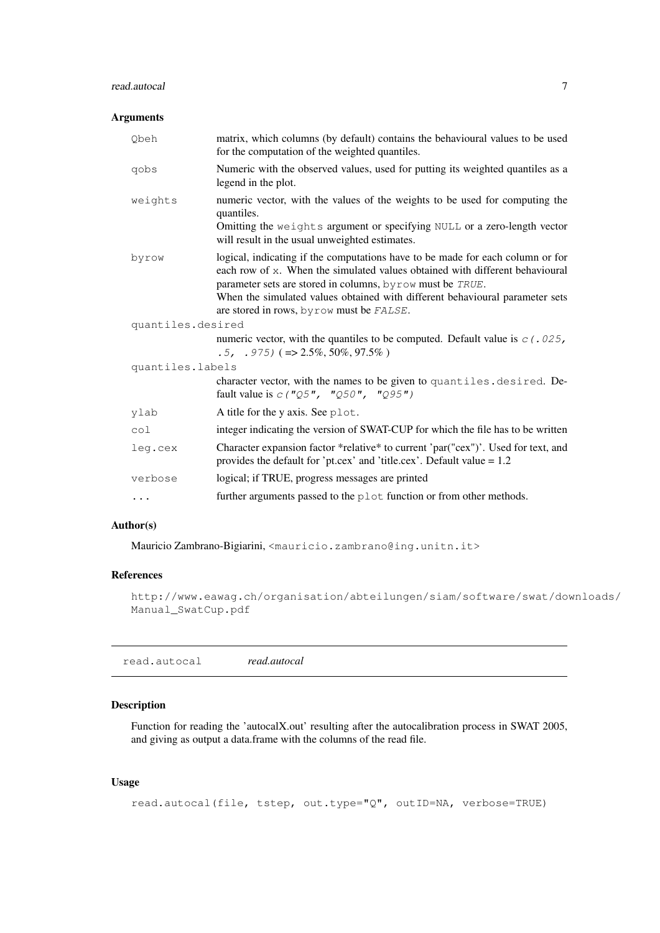# read.autocal 7

#### Arguments

| Qbeh              | matrix, which columns (by default) contains the behavioural values to be used<br>for the computation of the weighted quantiles.                                                                                                                                                                                                                          |  |
|-------------------|----------------------------------------------------------------------------------------------------------------------------------------------------------------------------------------------------------------------------------------------------------------------------------------------------------------------------------------------------------|--|
| qobs              | Numeric with the observed values, used for putting its weighted quantiles as a<br>legend in the plot.                                                                                                                                                                                                                                                    |  |
| weights           | numeric vector, with the values of the weights to be used for computing the<br>quantiles.<br>Omitting the weights argument or specifying NULL or a zero-length vector<br>will result in the usual unweighted estimates.                                                                                                                                  |  |
| byrow             | logical, indicating if the computations have to be made for each column or for<br>each row of x. When the simulated values obtained with different behavioural<br>parameter sets are stored in columns, byrow must be TRUE.<br>When the simulated values obtained with different behavioural parameter sets<br>are stored in rows, by row must be FALSE. |  |
| quantiles.desired |                                                                                                                                                                                                                                                                                                                                                          |  |
|                   | numeric vector, with the quantiles to be computed. Default value is $c(0.025)$ ,<br>$.5, .975) (= > 2.5\%, 50\%, 97.5\%)$                                                                                                                                                                                                                                |  |
| quantiles.labels  |                                                                                                                                                                                                                                                                                                                                                          |  |
|                   |                                                                                                                                                                                                                                                                                                                                                          |  |
|                   | character vector, with the names to be given to quantiles. desired. De-<br>fault value is $c(TQ5", TQ50", TQ95")$                                                                                                                                                                                                                                        |  |
| ylab              | A title for the y axis. See plot.                                                                                                                                                                                                                                                                                                                        |  |
| col               | integer indicating the version of SWAT-CUP for which the file has to be written                                                                                                                                                                                                                                                                          |  |
| leg.cex           | Character expansion factor *relative* to current 'par("cex")'. Used for text, and<br>provides the default for 'pt.cex' and 'title.cex'. Default value $= 1.2$                                                                                                                                                                                            |  |
| verbose           | logical; if TRUE, progress messages are printed                                                                                                                                                                                                                                                                                                          |  |

#### Author(s)

Mauricio Zambrano-Bigiarini, <mauricio.zambrano@ing.unitn.it>

# References

http://www.eawag.ch/organisation/abteilungen/siam/software/swat/downloads/ Manual\_SwatCup.pdf

|--|--|

# Description

Function for reading the 'autocalX.out' resulting after the autocalibration process in SWAT 2005, and giving as output a data.frame with the columns of the read file.

# Usage

```
read.autocal(file, tstep, out.type="Q", outID=NA, verbose=TRUE)
```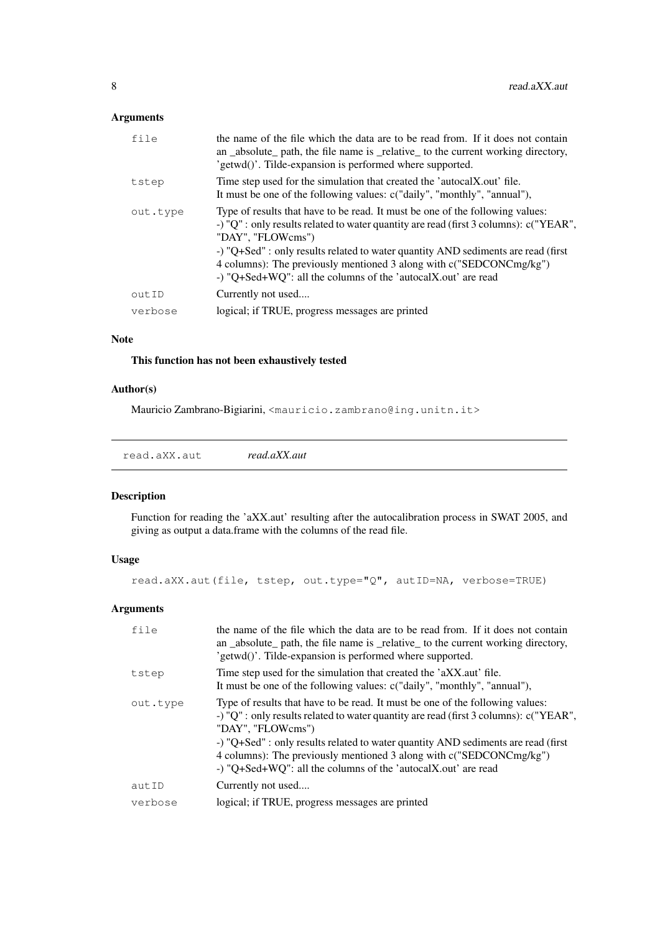# Arguments

| file     | the name of the file which the data are to be read from. If it does not contain<br>an _absolute_ path, the file name is _relative_ to the current working directory,<br>'getwd()'. Tilde-expansion is performed where supported.                                                                                                                                                                                         |
|----------|--------------------------------------------------------------------------------------------------------------------------------------------------------------------------------------------------------------------------------------------------------------------------------------------------------------------------------------------------------------------------------------------------------------------------|
| tstep    | Time step used for the simulation that created the 'autocalX.out' file.<br>It must be one of the following values: c("daily", "monthly", "annual"),                                                                                                                                                                                                                                                                      |
| out.type | Type of results that have to be read. It must be one of the following values:<br>-) "Q" : only results related to water quantity are read (first 3 columns): c("YEAR",<br>"DAY", "FLOWcms")<br>-) "Q+Sed" : only results related to water quantity AND sediments are read (first<br>4 columns): The previously mentioned 3 along with c("SEDCONCmg/kg")<br>-) "Q+Sed+WQ": all the columns of the 'autocalX.out' are read |
| outID    | Currently not used                                                                                                                                                                                                                                                                                                                                                                                                       |
| verbose  | logical; if TRUE, progress messages are printed                                                                                                                                                                                                                                                                                                                                                                          |
|          |                                                                                                                                                                                                                                                                                                                                                                                                                          |

#### Note

# This function has not been exhaustively tested

#### Author(s)

Mauricio Zambrano-Bigiarini, <mauricio.zambrano@ing.unitn.it>

read.aXX.aut *read.aXX.aut*

# Description

Function for reading the 'aXX.aut' resulting after the autocalibration process in SWAT 2005, and giving as output a data.frame with the columns of the read file.

# Usage

read.aXX.aut(file, tstep, out.type="Q", autID=NA, verbose=TRUE)

# Arguments

| file     | the name of the file which the data are to be read from. If it does not contain<br>an _absolute_ path, the file name is _relative_ to the current working directory,<br>'getwd()'. Tilde-expansion is performed where supported.                                                                                                                                                                                         |
|----------|--------------------------------------------------------------------------------------------------------------------------------------------------------------------------------------------------------------------------------------------------------------------------------------------------------------------------------------------------------------------------------------------------------------------------|
| tstep    | Time step used for the simulation that created the 'aXX.aut' file.<br>It must be one of the following values: c("daily", "monthly", "annual"),                                                                                                                                                                                                                                                                           |
| out.type | Type of results that have to be read. It must be one of the following values:<br>-) "Q" : only results related to water quantity are read (first 3 columns): c("YEAR",<br>"DAY", "FLOWcms")<br>-) "Q+Sed" : only results related to water quantity AND sediments are read (first<br>4 columns): The previously mentioned 3 along with c("SEDCONCmg/kg")<br>-) "Q+Sed+WQ": all the columns of the 'autocalX.out' are read |
| autID    | Currently not used                                                                                                                                                                                                                                                                                                                                                                                                       |
| verbose  | logical; if TRUE, progress messages are printed                                                                                                                                                                                                                                                                                                                                                                          |
|          |                                                                                                                                                                                                                                                                                                                                                                                                                          |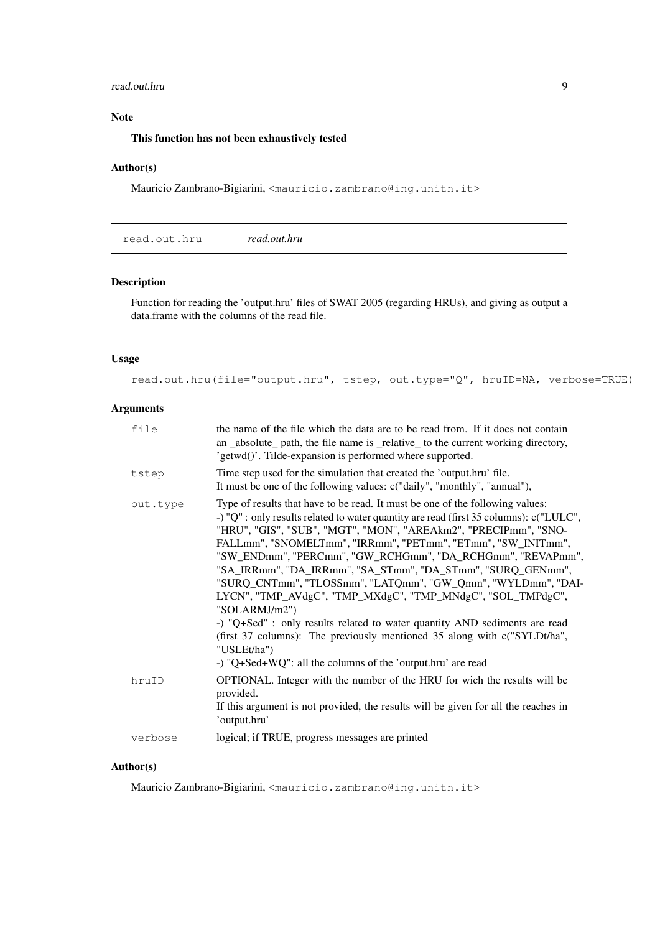#### read.out.hru 9

#### Note

# This function has not been exhaustively tested

#### Author(s)

Mauricio Zambrano-Bigiarini, <mauricio.zambrano@ing.unitn.it>

read.out.hru *read.out.hru*

# Description

Function for reading the 'output.hru' files of SWAT 2005 (regarding HRUs), and giving as output a data.frame with the columns of the read file.

# Usage

read.out.hru(file="output.hru", tstep, out.type="Q", hruID=NA, verbose=TRUE)

# Arguments

| file     | the name of the file which the data are to be read from. If it does not contain<br>an _absolute_ path, the file name is _relative_ to the current working directory,<br>'getwd()'. Tilde-expansion is performed where supported.                                                                                                                                                                                                                                                                                                                                                                                                                                                                                                                                                                                                |
|----------|---------------------------------------------------------------------------------------------------------------------------------------------------------------------------------------------------------------------------------------------------------------------------------------------------------------------------------------------------------------------------------------------------------------------------------------------------------------------------------------------------------------------------------------------------------------------------------------------------------------------------------------------------------------------------------------------------------------------------------------------------------------------------------------------------------------------------------|
| tstep    | Time step used for the simulation that created the 'output.hru' file.<br>It must be one of the following values: c("daily", "monthly", "annual"),                                                                                                                                                                                                                                                                                                                                                                                                                                                                                                                                                                                                                                                                               |
| out.type | Type of results that have to be read. It must be one of the following values:<br>-) "Q" : only results related to water quantity are read (first 35 columns): c("LULC",<br>"HRU", "GIS", "SUB", "MGT", "MON", "AREAkm2", "PRECIPmm", "SNO-<br>FALLmm", "SNOMELTmm", "IRRmm", "PETmm", "ETmm", "SW_INITmm",<br>"SW_ENDmm", "PERCmm", "GW_RCHGmm", "DA_RCHGmm", "REVAPmm",<br>"SA_IRRmm", "DA_IRRmm", "SA_STmm", "DA_STmm", "SURQ_GENmm",<br>"SURQ_CNTmm", "TLOSSmm", "LATQmm", "GW_Qmm", "WYLDmm", "DAI-<br>LYCN", "TMP_AVdgC", "TMP_MXdgC", "TMP_MNdgC", "SOL_TMPdgC",<br>"SOLARMJ/m2")<br>-) "Q+Sed" : only results related to water quantity AND sediments are read<br>(first 37 columns): The previously mentioned 35 along with c("SYLDt/ha",<br>"USLEt/ha")<br>-) "Q+Sed+WQ": all the columns of the 'output.hru' are read |
| hruID    | OPTIONAL. Integer with the number of the HRU for wich the results will be<br>provided.<br>If this argument is not provided, the results will be given for all the reaches in<br>'output.hru'                                                                                                                                                                                                                                                                                                                                                                                                                                                                                                                                                                                                                                    |
| verbose  | logical; if TRUE, progress messages are printed                                                                                                                                                                                                                                                                                                                                                                                                                                                                                                                                                                                                                                                                                                                                                                                 |

# Author(s)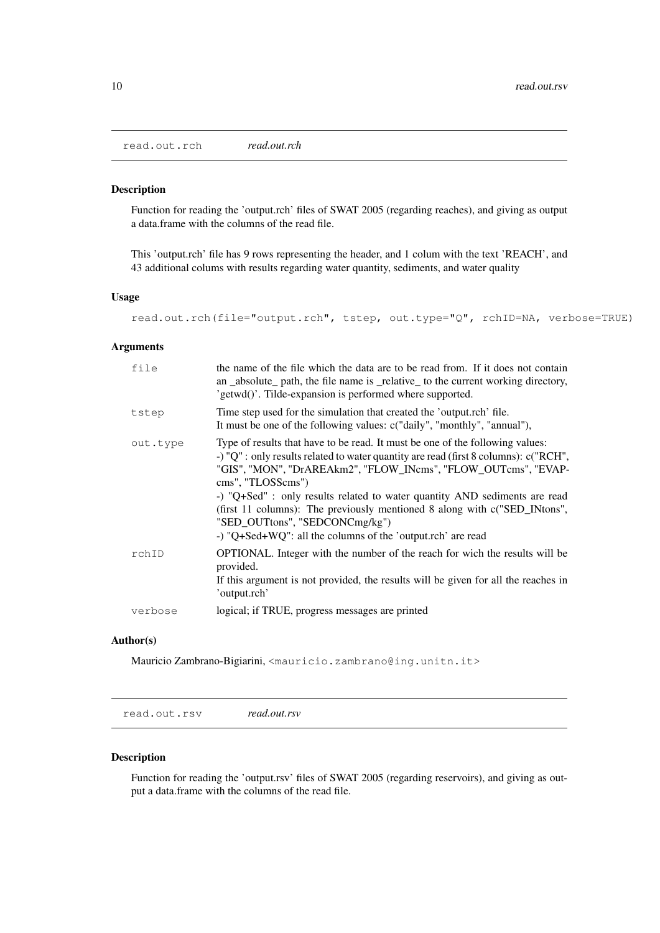read.out.rch *read.out.rch*

#### Description

Function for reading the 'output.rch' files of SWAT 2005 (regarding reaches), and giving as output a data.frame with the columns of the read file.

This 'output.rch' file has 9 rows representing the header, and 1 colum with the text 'REACH', and 43 additional colums with results regarding water quantity, sediments, and water quality

# Usage

read.out.rch(file="output.rch", tstep, out.type="Q", rchID=NA, verbose=TRUE)

#### Arguments

| file     | the name of the file which the data are to be read from. If it does not contain<br>an _absolute_ path, the file name is _relative_ to the current working directory,<br>'getwd()'. Tilde-expansion is performed where supported.                                                                                                                                                                                                                                                                                         |
|----------|--------------------------------------------------------------------------------------------------------------------------------------------------------------------------------------------------------------------------------------------------------------------------------------------------------------------------------------------------------------------------------------------------------------------------------------------------------------------------------------------------------------------------|
| tstep    | Time step used for the simulation that created the 'output.rch' file.<br>It must be one of the following values: c("daily", "monthly", "annual"),                                                                                                                                                                                                                                                                                                                                                                        |
| out.type | Type of results that have to be read. It must be one of the following values:<br>-) "Q" : only results related to water quantity are read (first 8 columns): c("RCH",<br>"GIS", "MON", "DrAREAkm2", "FLOW_INcms", "FLOW_OUTcms", "EVAP-<br>cms", "TLOSScms")<br>-) "Q+Sed" : only results related to water quantity AND sediments are read<br>(first 11 columns): The previously mentioned 8 along with c("SED_INtons",<br>"SED_OUTtons", "SEDCONCmg/kg")<br>-) "Q+Sed+WQ": all the columns of the 'output.rch' are read |
| rchID    | OPTIONAL. Integer with the number of the reach for wich the results will be<br>provided.<br>If this argument is not provided, the results will be given for all the reaches in<br>'output.rch'                                                                                                                                                                                                                                                                                                                           |
| verbose  | logical; if TRUE, progress messages are printed                                                                                                                                                                                                                                                                                                                                                                                                                                                                          |

# Author(s)

Mauricio Zambrano-Bigiarini, <mauricio.zambrano@ing.unitn.it>

read.out.rsv *read.out.rsv*

# Description

Function for reading the 'output.rsv' files of SWAT 2005 (regarding reservoirs), and giving as output a data.frame with the columns of the read file.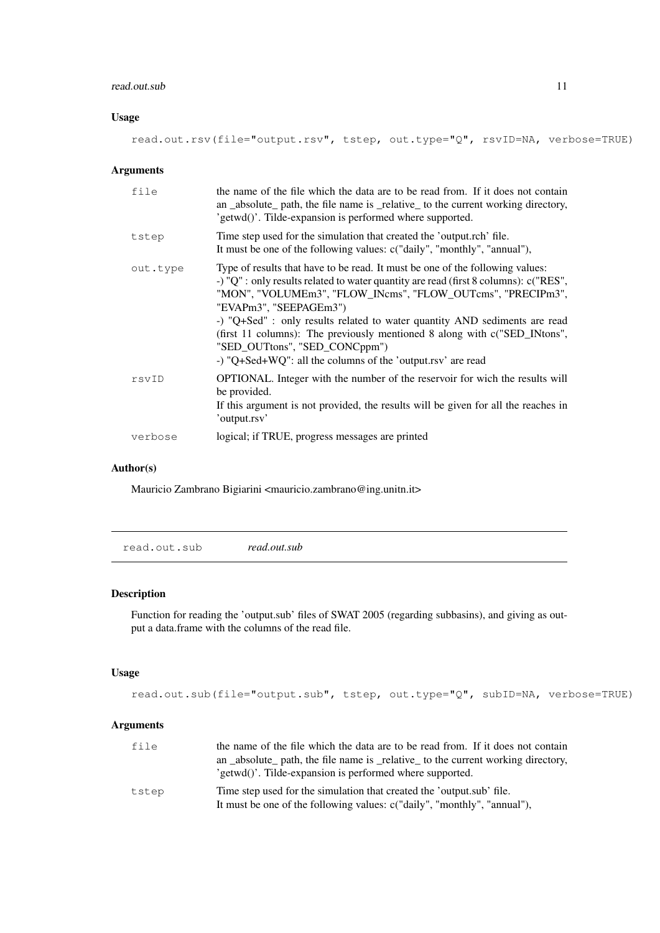#### read.out.sub 11

#### Usage

read.out.rsv(file="output.rsv", tstep, out.type="Q", rsvID=NA, verbose=TRUE)

# Arguments

| file     | the name of the file which the data are to be read from. If it does not contain<br>an _absolute_ path, the file name is _relative_ to the current working directory,<br>'getwd()'. Tilde-expansion is performed where supported.                                                                                                                                                                                                                                                                                            |
|----------|-----------------------------------------------------------------------------------------------------------------------------------------------------------------------------------------------------------------------------------------------------------------------------------------------------------------------------------------------------------------------------------------------------------------------------------------------------------------------------------------------------------------------------|
| tstep    | Time step used for the simulation that created the 'output.rch' file.<br>It must be one of the following values: c("daily", "monthly", "annual"),                                                                                                                                                                                                                                                                                                                                                                           |
| out.type | Type of results that have to be read. It must be one of the following values:<br>-) "Q" : only results related to water quantity are read (first 8 columns): $c("RES",$<br>"MON", "VOLUMEm3", "FLOW_INcms", "FLOW_OUTcms", "PRECIPm3",<br>"EVAPm3", "SEEPAGEm3")<br>-) "Q+Sed" : only results related to water quantity AND sediments are read<br>(first 11 columns): The previously mentioned 8 along with c("SED_INtons",<br>"SED_OUTtons", "SED_CONCppm")<br>-) "Q+Sed+WQ": all the columns of the 'output.rsv' are read |
| rsvID    | <b>OPTIONAL.</b> Integer with the number of the reservoir for wich the results will<br>be provided.<br>If this argument is not provided, the results will be given for all the reaches in<br>'output.rsv'                                                                                                                                                                                                                                                                                                                   |
| verbose  | logical; if TRUE, progress messages are printed                                                                                                                                                                                                                                                                                                                                                                                                                                                                             |

# Author(s)

Mauricio Zambrano Bigiarini <mauricio.zambrano@ing.unitn.it>

read.out.sub *read.out.sub*

#### Description

Function for reading the 'output.sub' files of SWAT 2005 (regarding subbasins), and giving as output a data.frame with the columns of the read file.

# Usage

read.out.sub(file="output.sub", tstep, out.type="Q", subID=NA, verbose=TRUE)

# Arguments

| file  | the name of the file which the data are to be read from. If it does not contain   |
|-------|-----------------------------------------------------------------------------------|
|       | an _absolute_ path, the file name is _relative_ to the current working directory, |
|       | 'getwd()'. Tilde-expansion is performed where supported.                          |
| tstep | Time step used for the simulation that created the 'output.sub' file.             |
|       | It must be one of the following values: c("daily", "monthly", "annual").          |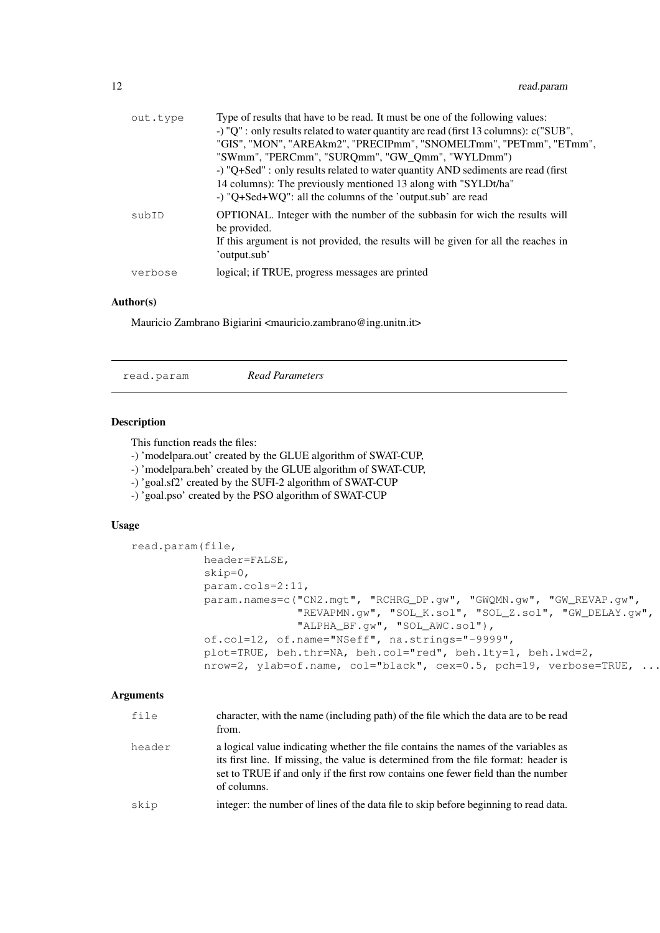| out.type | Type of results that have to be read. It must be one of the following values:                      |
|----------|----------------------------------------------------------------------------------------------------|
|          | -) "Q" : only results related to water quantity are read (first 13 columns): c("SUB",              |
|          | "GIS", "MON", "AREAkm2", "PRECIPmm", "SNOMELTmm", "PETmm", "ETmm",                                 |
|          | "SWmm", "PERCmm", "SURQmm", "GW_Qmm", "WYLDmm")                                                    |
|          | -) "Q+Sed" : only results related to water quantity AND sediments are read (first                  |
|          | 14 columns): The previously mentioned 13 along with "SYLDt/ha"                                     |
|          | -) "Q+Sed+WQ": all the columns of the 'output.sub' are read                                        |
| subID    | <b>OPTIONAL.</b> Integer with the number of the subbasin for wich the results will<br>be provided. |
|          | If this argument is not provided, the results will be given for all the reaches in<br>'output.sub' |
| verbose  | logical; if TRUE, progress messages are printed                                                    |

# Author(s)

Mauricio Zambrano Bigiarini <mauricio.zambrano@ing.unitn.it>

read.param *Read Parameters*

#### Description

This function reads the files:

- -) 'modelpara.out' created by the GLUE algorithm of SWAT-CUP,
- -) 'modelpara.beh' created by the GLUE algorithm of SWAT-CUP,
- -) 'goal.sf2' created by the SUFI-2 algorithm of SWAT-CUP
- -) 'goal.pso' created by the PSO algorithm of SWAT-CUP

# Usage

```
read.param(file,
           header=FALSE,
           skip=0,
           param.cols=2:11,
           param.names=c("CN2.mgt", "RCHRG_DP.gw", "GWQMN.gw", "GW_REVAP.gw",
                         "REVAPMN.gw", "SOL_K.sol", "SOL_Z.sol", "GW_DELAY.gw",
                         "ALPHA_BF.gw", "SOL_AWC.sol"),
           of.col=12, of.name="NSeff", na.strings="-9999",
           plot=TRUE, beh.thr=NA, beh.col="red", beh.lty=1, beh.lwd=2,
           nrow=2, ylab=of.name, col="black", cex=0.5, pch=19, verbose=TRUE, ...)
```
#### Arguments

| file   | character, with the name (including path) of the file which the data are to be read<br>from.                                                                                                                                                                                  |
|--------|-------------------------------------------------------------------------------------------------------------------------------------------------------------------------------------------------------------------------------------------------------------------------------|
| header | a logical value indicating whether the file contains the names of the variables as<br>its first line. If missing, the value is determined from the file format: header is<br>set to TRUE if and only if the first row contains one fewer field than the number<br>of columns. |
| skip   | integer: the number of lines of the data file to skip before beginning to read data.                                                                                                                                                                                          |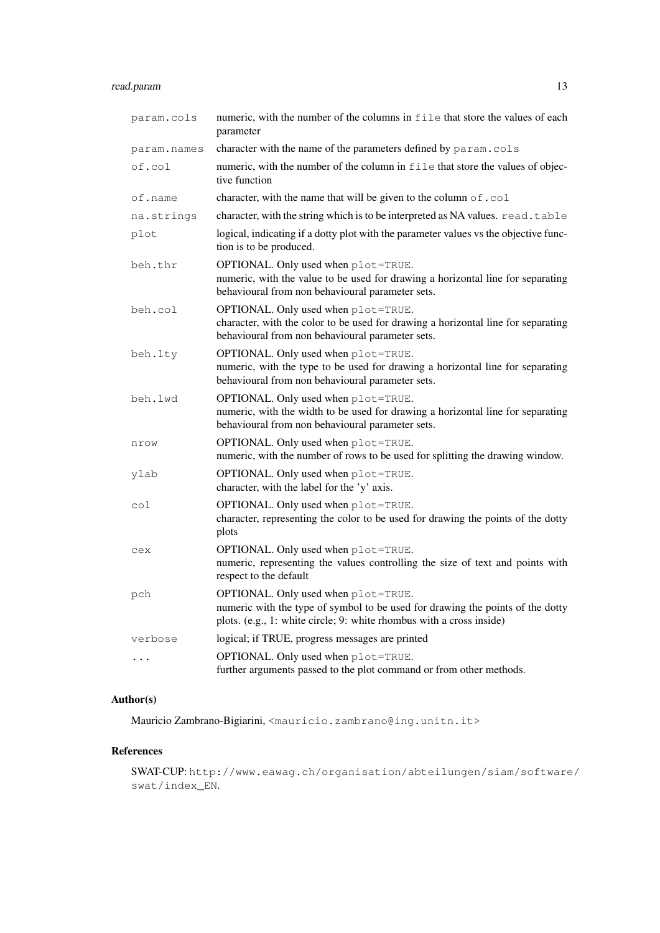# read.param 13

| param.cols     | numeric, with the number of the columns in file that store the values of each<br>parameter                                                                                                    |
|----------------|-----------------------------------------------------------------------------------------------------------------------------------------------------------------------------------------------|
| param.names    | character with the name of the parameters defined by param.cols                                                                                                                               |
| of.col         | numeric, with the number of the column in file that store the values of objec-<br>tive function                                                                                               |
| of.name        | character, with the name that will be given to the column of . col                                                                                                                            |
| na.strings     | character, with the string which is to be interpreted as NA values. read.table                                                                                                                |
| plot           | logical, indicating if a dotty plot with the parameter values vs the objective func-<br>tion is to be produced.                                                                               |
| beh.thr        | OPTIONAL. Only used when plot=TRUE.<br>numeric, with the value to be used for drawing a horizontal line for separating<br>behavioural from non behavioural parameter sets.                    |
| beh.col        | OPTIONAL. Only used when plot=TRUE.<br>character, with the color to be used for drawing a horizontal line for separating<br>behavioural from non behavioural parameter sets.                  |
| beh.lty        | OPTIONAL. Only used when plot=TRUE.<br>numeric, with the type to be used for drawing a horizontal line for separating<br>behavioural from non behavioural parameter sets.                     |
| beh.lwd        | OPTIONAL. Only used when plot=TRUE.<br>numeric, with the width to be used for drawing a horizontal line for separating<br>behavioural from non behavioural parameter sets.                    |
| nrow           | OPTIONAL. Only used when plot=TRUE.<br>numeric, with the number of rows to be used for splitting the drawing window.                                                                          |
| ylab           | OPTIONAL. Only used when plot=TRUE.<br>character, with the label for the 'y' axis.                                                                                                            |
| $\mathrm{col}$ | OPTIONAL. Only used when plot=TRUE.<br>character, representing the color to be used for drawing the points of the dotty<br>plots                                                              |
| cex            | OPTIONAL. Only used when plot=TRUE.<br>numeric, representing the values controlling the size of text and points with<br>respect to the default                                                |
| pch            | OPTIONAL. Only used when plot=TRUE.<br>numeric with the type of symbol to be used for drawing the points of the dotty<br>plots. (e.g., 1: white circle; 9: white rhombus with a cross inside) |
| verbose        | logical; if TRUE, progress messages are printed                                                                                                                                               |
| .              | OPTIONAL. Only used when plot=TRUE.<br>further arguments passed to the plot command or from other methods.                                                                                    |

# Author(s)

Mauricio Zambrano-Bigiarini, <mauricio.zambrano@ing.unitn.it>

# References

SWAT-CUP: http://www.eawag.ch/organisation/abteilungen/siam/software/ swat/index\_EN.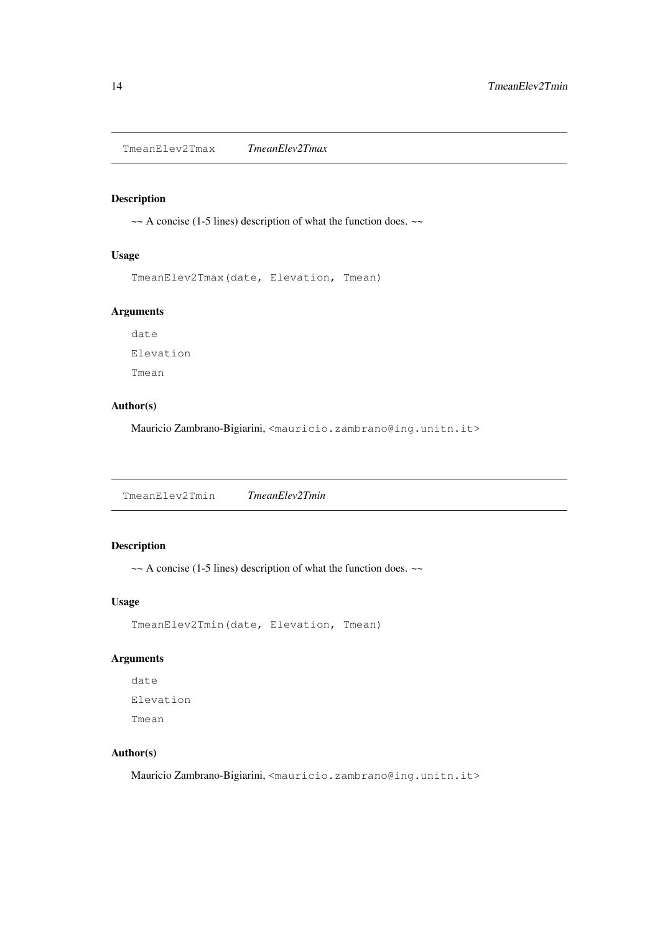TmeanElev2Tmax *TmeanElev2Tmax*

# Description

~~ A concise (1-5 lines) description of what the function does. ~~

# Usage

TmeanElev2Tmax(date, Elevation, Tmean)

#### Arguments

date Elevation Tmean

# Author(s)

Mauricio Zambrano-Bigiarini, <mauricio.zambrano@ing.unitn.it>

TmeanElev2Tmin *TmeanElev2Tmin*

# Description

~~ A concise (1-5 lines) description of what the function does. ~~

# Usage

TmeanElev2Tmin(date, Elevation, Tmean)

# Arguments

date Elevation Tmean

# Author(s)